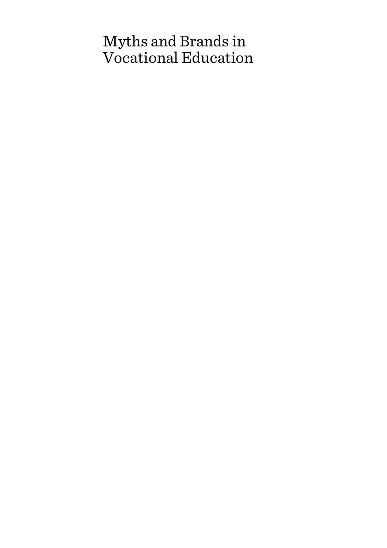# Myths and Brands in Vocational Education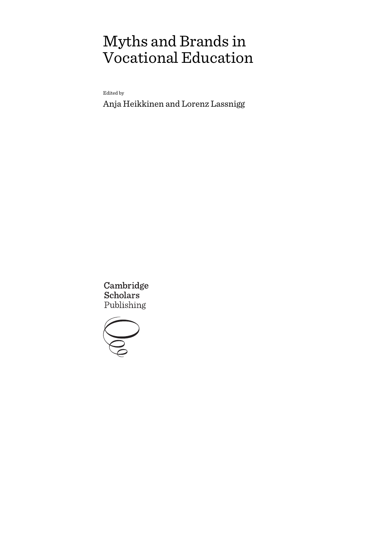# Myths and Brands in Vocational Education

Edited by

Anja Heikkinen and Lorenz Lassnigg

Cambridge **Scholars** Publishing

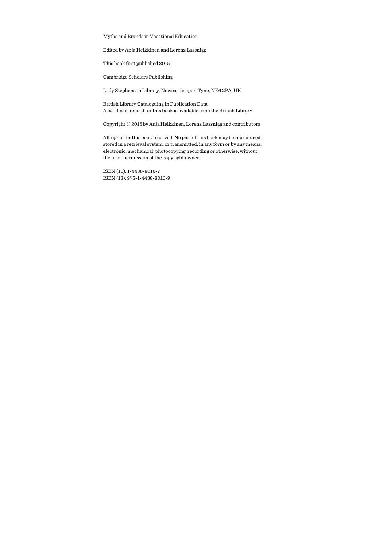Myths and Brands in Vocational Education

Edited by Anja Heikkinen and Lorenz Lassnigg

This book first published 2015

Cambridge Scholars Publishing

Lady Stephenson Library, Newcastle upon Tyne, NE6 2PA, UK

British Library Cataloguing in Publication Data A catalogue record for this book is available from the British Library

Copyright © 2015 by Anja Heikkinen, Lorenz Lassnigg and contributors

All rights for this book reserved. No part of this book may be reproduced, stored in a retrieval system, or transmitted, in any form or by any means, electronic, mechanical, photocopying, recording or otherwise, without the prior permission of the copyright owner.

ISBN (10): 1-4438-8016-7 ISBN (13): 978-1-4438-8016-9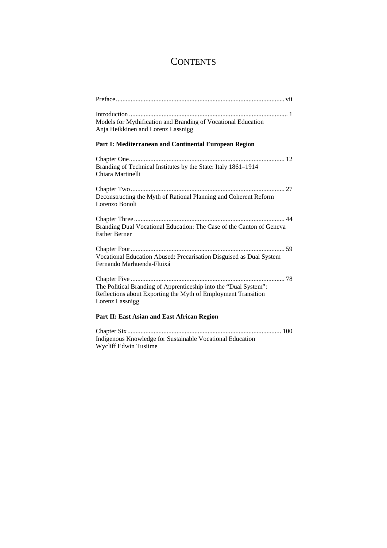# **CONTENTS**

| Models for Mythification and Branding of Vocational Education        |
|----------------------------------------------------------------------|
| Anja Heikkinen and Lorenz Lassnigg                                   |
| Part I: Mediterranean and Continental European Region                |
|                                                                      |
| Branding of Technical Institutes by the State: Italy 1861-1914       |
| Chiara Martinelli                                                    |
|                                                                      |
| Deconstructing the Myth of Rational Planning and Coherent Reform     |
| Lorenzo Bonoli                                                       |
|                                                                      |
| Branding Dual Vocational Education: The Case of the Canton of Geneva |
| <b>Esther Berner</b>                                                 |
|                                                                      |
| Vocational Education Abused: Precarisation Disguised as Dual System  |
| Fernando Marhuenda-Fluixá                                            |
|                                                                      |
| The Political Branding of Apprenticeship into the "Dual System":     |
| Reflections about Exporting the Myth of Employment Transition        |
| Lorenz Lassnigg                                                      |
| Part II: East Asian and East African Region                          |
|                                                                      |

Indigenous Knowledge for Sustainable Vocational Education Wycliff Edwin Tusiime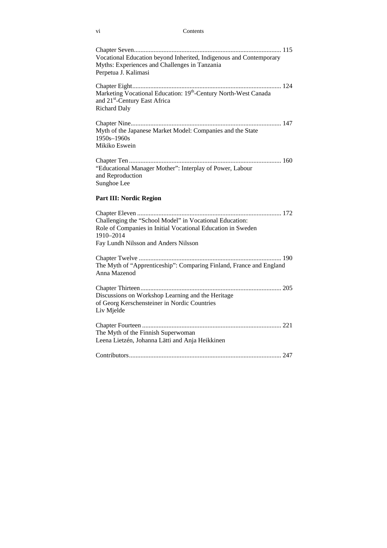### vi Contents

| Vocational Education beyond Inherited, Indigenous and Contemporary<br>Myths: Experiences and Challenges in Tanzania<br>Perpetua J. Kalimasi                                 |
|-----------------------------------------------------------------------------------------------------------------------------------------------------------------------------|
| Marketing Vocational Education: 19 <sup>th</sup> -Century North-West Canada<br>and 21 <sup>st</sup> -Century East Africa<br><b>Richard Daly</b>                             |
| Myth of the Japanese Market Model: Companies and the State<br>1950s-1960s<br>Mikiko Eswein                                                                                  |
| "Educational Manager Mother": Interplay of Power, Labour<br>and Reproduction<br>Sunghoe Lee                                                                                 |
| Part III: Nordic Region                                                                                                                                                     |
| Challenging the "School Model" in Vocational Education:<br>Role of Companies in Initial Vocational Education in Sweden<br>1910-2014<br>Fay Lundh Nilsson and Anders Nilsson |
| The Myth of "Apprenticeship": Comparing Finland, France and England<br>Anna Mazenod                                                                                         |
| Discussions on Workshop Learning and the Heritage<br>of Georg Kerschensteiner in Nordic Countries<br>Liv Mjelde                                                             |
| The Myth of the Finnish Superwoman<br>Leena Lietzén, Johanna Lätti and Anja Heikkinen                                                                                       |
|                                                                                                                                                                             |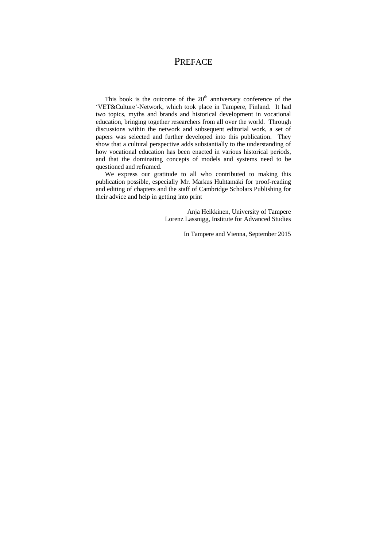### **PREFACE**

This book is the outcome of the  $20<sup>th</sup>$  anniversary conference of the 'VET&Culture'-Network, which took place in Tampere, Finland. It had two topics, myths and brands and historical development in vocational education, bringing together researchers from all over the world. Through discussions within the network and subsequent editorial work, a set of papers was selected and further developed into this publication. They show that a cultural perspective adds substantially to the understanding of how vocational education has been enacted in various historical periods, and that the dominating concepts of models and systems need to be questioned and reframed.

We express our gratitude to all who contributed to making this publication possible, especially Mr. Markus Huhtamäki for proof-reading and editing of chapters and the staff of Cambridge Scholars Publishing for their advice and help in getting into print

> Anja Heikkinen, University of Tampere Lorenz Lassnigg, Institute for Advanced Studies

> > In Tampere and Vienna, September 2015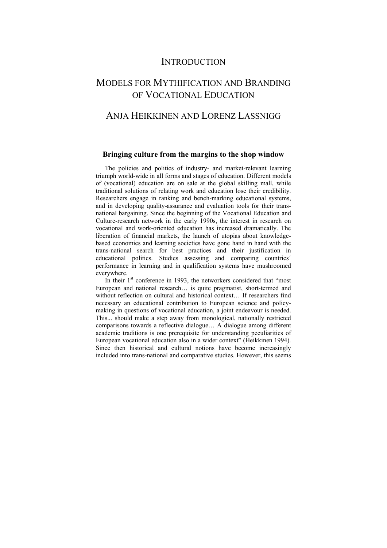### **INTRODUCTION**

## MODELS FOR MYTHIFICATION AND BRANDING OF VOCATIONAL EDUCATION

### ANJA HEIKKINEN AND LORENZ LASSNIGG

### **Bringing culture from the margins to the shop window**

The policies and politics of industry- and market-relevant learning triumph world-wide in all forms and stages of education. Different models of (vocational) education are on sale at the global skilling mall, while traditional solutions of relating work and education lose their credibility. Researchers engage in ranking and bench-marking educational systems, and in developing quality-assurance and evaluation tools for their transnational bargaining. Since the beginning of the Vocational Education and Culture-research network in the early 1990s, the interest in research on vocational and work-oriented education has increased dramatically. The liberation of financial markets, the launch of utopias about knowledgebased economies and learning societies have gone hand in hand with the trans-national search for best practices and their justification in educational politics. Studies assessing and comparing countries´ performance in learning and in qualification systems have mushroomed everywhere.

In their  $1<sup>st</sup>$  conference in 1993, the networkers considered that "most" European and national research… is quite pragmatist, short-termed and without reflection on cultural and historical context… If researchers find necessary an educational contribution to European science and policymaking in questions of vocational education, a joint endeavour is needed. This... should make a step away from monological, nationally restricted comparisons towards a reflective dialogue… A dialogue among different academic traditions is one prerequisite for understanding peculiarities of European vocational education also in a wider context" (Heikkinen 1994). Since then historical and cultural notions have become increasingly included into trans-national and comparative studies. However, this seems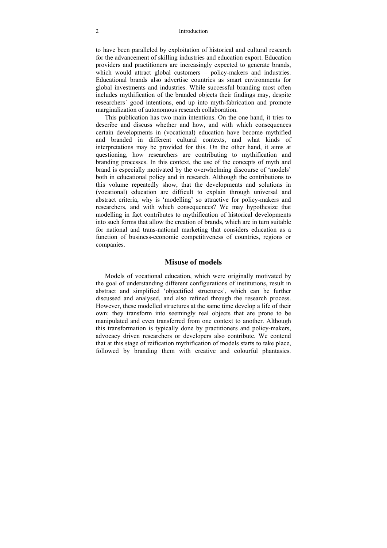#### 2 Introduction

to have been paralleled by exploitation of historical and cultural research for the advancement of skilling industries and education export. Education providers and practitioners are increasingly expected to generate brands, which would attract global customers – policy-makers and industries. Educational brands also advertise countries as smart environments for global investments and industries. While successful branding most often includes mythification of the branded objects their findings may, despite researchers´ good intentions, end up into myth-fabrication and promote marginalization of autonomous research collaboration.

This publication has two main intentions. On the one hand, it tries to describe and discuss whether and how, and with which consequences certain developments in (vocational) education have become mythified and branded in different cultural contexts, and what kinds of interpretations may be provided for this. On the other hand, it aims at questioning, how researchers are contributing to mythification and branding processes. In this context, the use of the concepts of myth and brand is especially motivated by the overwhelming discourse of 'models' both in educational policy and in research. Although the contributions to this volume repeatedly show, that the developments and solutions in (vocational) education are difficult to explain through universal and abstract criteria, why is 'modelling' so attractive for policy-makers and researchers, and with which consequences? We may hypothesize that modelling in fact contributes to mythification of historical developments into such forms that allow the creation of brands, which are in turn suitable for national and trans-national marketing that considers education as a function of business-economic competitiveness of countries, regions or companies.

### **Misuse of models**

Models of vocational education, which were originally motivated by the goal of understanding different configurations of institutions, result in abstract and simplified 'objectified structures', which can be further discussed and analysed, and also refined through the research process. However, these modelled structures at the same time develop a life of their own: they transform into seemingly real objects that are prone to be manipulated and even transferred from one context to another. Although this transformation is typically done by practitioners and policy-makers, advocacy driven researchers or developers also contribute. We contend that at this stage of reification mythification of models starts to take place, followed by branding them with creative and colourful phantasies.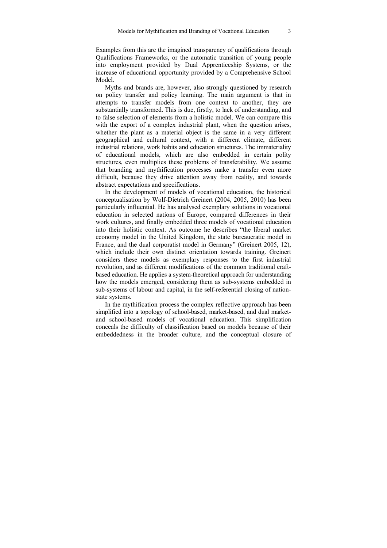Examples from this are the imagined transparency of qualifications through Qualifications Frameworks, or the automatic transition of young people into employment provided by Dual Apprenticeship Systems, or the increase of educational opportunity provided by a Comprehensive School Model.

Myths and brands are, however, also strongly questioned by research on policy transfer and policy learning. The main argument is that in attempts to transfer models from one context to another, they are substantially transformed. This is due, firstly, to lack of understanding, and to false selection of elements from a holistic model. We can compare this with the export of a complex industrial plant, when the question arises, whether the plant as a material object is the same in a very different geographical and cultural context, with a different climate, different industrial relations, work habits and education structures. The immateriality of educational models, which are also embedded in certain polity structures, even multiplies these problems of transferability. We assume that branding and mythification processes make a transfer even more difficult, because they drive attention away from reality, and towards abstract expectations and specifications.

In the development of models of vocational education, the historical conceptualisation by Wolf-Dietrich Greinert (2004, 2005, 2010) has been particularly influential. He has analysed exemplary solutions in vocational education in selected nations of Europe, compared differences in their work cultures, and finally embedded three models of vocational education into their holistic context. As outcome he describes "the liberal market economy model in the United Kingdom, the state bureaucratic model in France, and the dual corporatist model in Germany" (Greinert 2005, 12), which include their own distinct orientation towards training. Greinert considers these models as exemplary responses to the first industrial revolution, and as different modifications of the common traditional craftbased education. He applies a system-theoretical approach for understanding how the models emerged, considering them as sub-systems embedded in sub-systems of labour and capital, in the self-referential closing of nationstate systems.

In the mythification process the complex reflective approach has been simplified into a topology of school-based, market-based, and dual marketand school-based models of vocational education. This simplification conceals the difficulty of classification based on models because of their embeddedness in the broader culture, and the conceptual closure of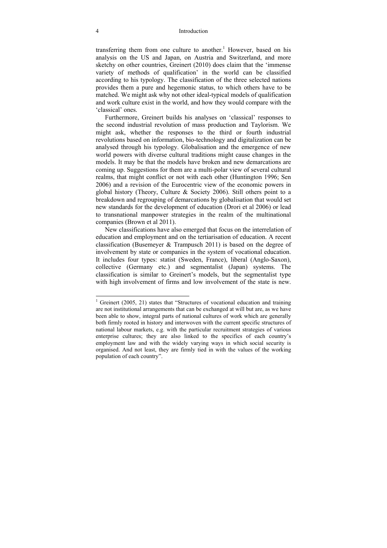#### 4 Introduction

transferring them from one culture to another.<sup>1</sup> However, based on his analysis on the US and Japan, on Austria and Switzerland, and more sketchy on other countries, Greinert (2010) does claim that the 'immense variety of methods of qualification' in the world can be classified according to his typology. The classification of the three selected nations provides them a pure and hegemonic status, to which others have to be matched. We might ask why not other ideal-typical models of qualification and work culture exist in the world, and how they would compare with the 'classical' ones.

Furthermore, Greinert builds his analyses on 'classical' responses to the second industrial revolution of mass production and Taylorism. We might ask, whether the responses to the third or fourth industrial revolutions based on information, bio-technology and digitalization can be analysed through his typology. Globalisation and the emergence of new world powers with diverse cultural traditions might cause changes in the models. It may be that the models have broken and new demarcations are coming up. Suggestions for them are a multi-polar view of several cultural realms, that might conflict or not with each other (Huntington 1996; Sen 2006) and a revision of the Eurocentric view of the economic powers in global history (Theory, Culture & Society 2006). Still others point to a breakdown and regrouping of demarcations by globalisation that would set new standards for the development of education (Drori et al 2006) or lead to transnational manpower strategies in the realm of the multinational companies (Brown et al 2011).

New classifications have also emerged that focus on the interrelation of education and employment and on the tertiarisation of education. A recent classification (Busemeyer  $&$  Trampusch 2011) is based on the degree of involvement by state or companies in the system of vocational education. It includes four types: statist (Sweden, France), liberal (Anglo-Saxon), collective (Germany etc.) and segmentalist (Japan) systems. The classification is similar to Greinert's models, but the segmentalist type with high involvement of firms and low involvement of the state is new.

-

<sup>&</sup>lt;sup>1</sup> Greinert (2005, 21) states that "Structures of vocational education and training are not institutional arrangements that can be exchanged at will but are, as we have been able to show, integral parts of national cultures of work which are generally both firmly rooted in history and interwoven with the current specific structures of national labour markets, e.g. with the particular recruitment strategies of various enterprise cultures; they are also linked to the specifics of each country's employment law and with the widely varying ways in which social security is organised. And not least, they are firmly tied in with the values of the working population of each country".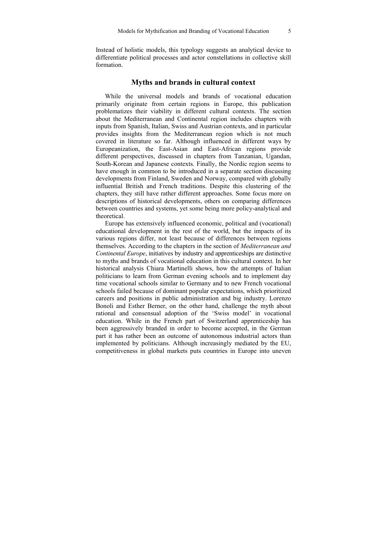Instead of holistic models, this typology suggests an analytical device to differentiate political processes and actor constellations in collective skill formation.

### **Myths and brands in cultural context**

While the universal models and brands of vocational education primarily originate from certain regions in Europe, this publication problematizes their viability in different cultural contexts. The section about the Mediterranean and Continental region includes chapters with inputs from Spanish, Italian, Swiss and Austrian contexts, and in particular provides insights from the Mediterranean region which is not much covered in literature so far. Although influenced in different ways by Europeanization, the East-Asian and East-African regions provide different perspectives, discussed in chapters from Tanzanian, Ugandan, South-Korean and Japanese contexts. Finally, the Nordic region seems to have enough in common to be introduced in a separate section discussing developments from Finland, Sweden and Norway, compared with globally influential British and French traditions. Despite this clustering of the chapters, they still have rather different approaches. Some focus more on descriptions of historical developments, others on comparing differences between countries and systems, yet some being more policy-analytical and theoretical.

Europe has extensively influenced economic, political and (vocational) educational development in the rest of the world, but the impacts of its various regions differ, not least because of differences between regions themselves. According to the chapters in the section of *Mediterranean and Continental Europe*, initiatives by industry and apprenticeships are distinctive to myths and brands of vocational education in this cultural context. In her historical analysis Chiara Martinelli shows, how the attempts of Italian politicians to learn from German evening schools and to implement day time vocational schools similar to Germany and to new French vocational schools failed because of dominant popular expectations, which prioritized careers and positions in public administration and big industry. Lorenzo Bonoli and Esther Berner, on the other hand, challenge the myth about rational and consensual adoption of the 'Swiss model' in vocational education. While in the French part of Switzerland apprenticeship has been aggressively branded in order to become accepted, in the German part it has rather been an outcome of autonomous industrial actors than implemented by politicians. Although increasingly mediated by the EU, competitiveness in global markets puts countries in Europe into uneven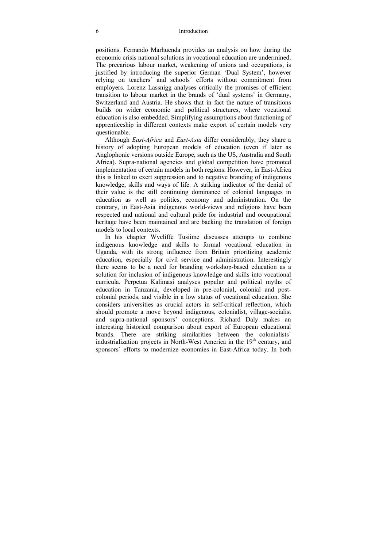#### 6 Introduction

positions. Fernando Marhuenda provides an analysis on how during the economic crisis national solutions in vocational education are undermined. The precarious labour market, weakening of unions and occupations, is justified by introducing the superior German 'Dual System', however relying on teachers´ and schools´ efforts without commitment from employers. Lorenz Lassnigg analyses critically the promises of efficient transition to labour market in the brands of 'dual systems' in Germany, Switzerland and Austria. He shows that in fact the nature of transitions builds on wider economic and political structures, where vocational education is also embedded. Simplifying assumptions about functioning of apprenticeship in different contexts make export of certain models very questionable.

Although *East-Africa* and *East-Asia* differ considerably, they share a history of adopting European models of education (even if later as Anglophonic versions outside Europe, such as the US, Australia and South Africa). Supra-national agencies and global competition have promoted implementation of certain models in both regions. However, in East-Africa this is linked to exert suppression and to negative branding of indigenous knowledge, skills and ways of life. A striking indicator of the denial of their value is the still continuing dominance of colonial languages in education as well as politics, economy and administration. On the contrary, in East-Asia indigenous world-views and religions have been respected and national and cultural pride for industrial and occupational heritage have been maintained and are backing the translation of foreign models to local contexts.

In his chapter Wycliffe Tusiime discusses attempts to combine indigenous knowledge and skills to formal vocational education in Uganda, with its strong influence from Britain prioritizing academic education, especially for civil service and administration. Interestingly there seems to be a need for branding workshop-based education as a solution for inclusion of indigenous knowledge and skills into vocational curricula. Perpetua Kalimasi analyses popular and political myths of education in Tanzania, developed in pre-colonial, colonial and postcolonial periods, and visible in a low status of vocational education. She considers universities as crucial actors in self-critical reflection, which should promote a move beyond indigenous, colonialist, village-socialist and supra-national sponsors' conceptions. Richard Daly makes an interesting historical comparison about export of European educational brands. There are striking similarities between the colonialists´ industrialization projects in North-West America in the  $19<sup>th</sup>$  century, and sponsors´ efforts to modernize economies in East-Africa today. In both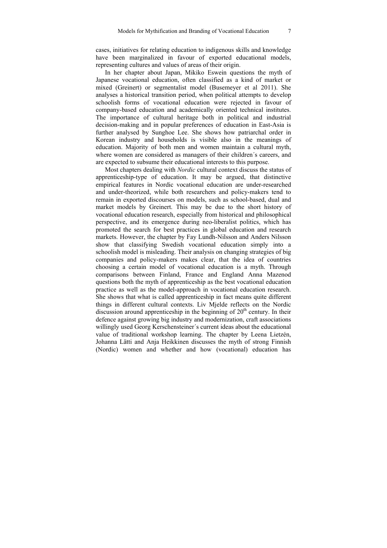cases, initiatives for relating education to indigenous skills and knowledge have been marginalized in favour of exported educational models, representing cultures and values of areas of their origin.

In her chapter about Japan, Mikiko Eswein questions the myth of Japanese vocational education, often classified as a kind of market or mixed (Greinert) or segmentalist model (Busemeyer et al 2011). She analyses a historical transition period, when political attempts to develop schoolish forms of vocational education were rejected in favour of company-based education and academically oriented technical institutes. The importance of cultural heritage both in political and industrial decision-making and in popular preferences of education in East-Asia is further analysed by Sunghoe Lee. She shows how patriarchal order in Korean industry and households is visible also in the meanings of education. Majority of both men and women maintain a cultural myth, where women are considered as managers of their children´s careers, and are expected to subsume their educational interests to this purpose.

Most chapters dealing with *Nordic* cultural context discuss the status of apprenticeship-type of education. It may be argued, that distinctive empirical features in Nordic vocational education are under-researched and under-theorized, while both researchers and policy-makers tend to remain in exported discourses on models, such as school-based, dual and market models by Greinert. This may be due to the short history of vocational education research, especially from historical and philosophical perspective, and its emergence during neo-liberalist politics, which has promoted the search for best practices in global education and research markets. However, the chapter by Fay Lundh-Nilsson and Anders Nilsson show that classifying Swedish vocational education simply into a schoolish model is misleading. Their analysis on changing strategies of big companies and policy-makers makes clear, that the idea of countries choosing a certain model of vocational education is a myth. Through comparisons between Finland, France and England Anna Mazenod questions both the myth of apprenticeship as the best vocational education practice as well as the model-approach in vocational education research. She shows that what is called apprenticeship in fact means quite different things in different cultural contexts. Liv Mjelde reflects on the Nordic discussion around apprenticeship in the beginning of  $20<sup>th</sup>$  century. In their defence against growing big industry and modernization, craft associations willingly used Georg Kerschensteiner´s current ideas about the educational value of traditional workshop learning. The chapter by Leena Lietzén, Johanna Lätti and Anja Heikkinen discusses the myth of strong Finnish (Nordic) women and whether and how (vocational) education has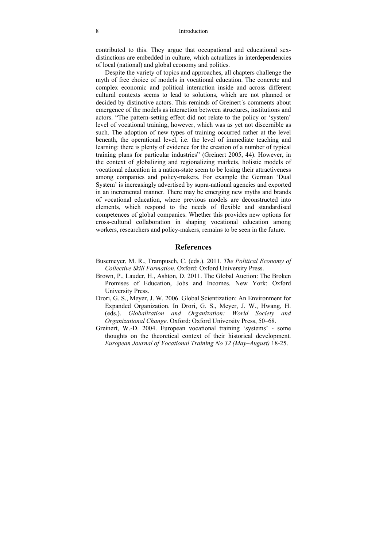#### 8 Introduction

contributed to this. They argue that occupational and educational sexdistinctions are embedded in culture, which actualizes in interdependencies of local (national) and global economy and politics.

Despite the variety of topics and approaches, all chapters challenge the myth of free choice of models in vocational education. The concrete and complex economic and political interaction inside and across different cultural contexts seems to lead to solutions, which are not planned or decided by distinctive actors. This reminds of Greinert´s comments about emergence of the models as interaction between structures, institutions and actors. "The pattern-setting effect did not relate to the policy or 'system' level of vocational training, however, which was as yet not discernible as such. The adoption of new types of training occurred rather at the level beneath, the operational level, i.e. the level of immediate teaching and learning: there is plenty of evidence for the creation of a number of typical training plans for particular industries" (Greinert 2005, 44). However, in the context of globalizing and regionalizing markets, holistic models of vocational education in a nation-state seem to be losing their attractiveness among companies and policy-makers. For example the German 'Dual System' is increasingly advertised by supra-national agencies and exported in an incremental manner. There may be emerging new myths and brands of vocational education, where previous models are deconstructed into elements, which respond to the needs of flexible and standardised competences of global companies. Whether this provides new options for cross-cultural collaboration in shaping vocational education among workers, researchers and policy-makers, remains to be seen in the future.

### **References**

- Busemeyer, M. R., Trampusch, C. (eds.). 2011. *The Political Economy of Collective Skill Formation*. Oxford: Oxford University Press.
- Brown, P., Lauder, H., Ashton, D. 2011. The Global Auction: The Broken Promises of Education, Jobs and Incomes. New York: Oxford University Press.
- Drori, G. S., Meyer, J. W. 2006. Global Scientization: An Environment for Expanded Organization. In Drori, G. S., Meyer, J. W., Hwang, H. (eds.). *Globalization and Organization: World Society and Organizational Change*. Oxford: Oxford University Press, 50*–*68.
- Greinert, W.-D. 2004. European vocational training 'systems' some thoughts on the theoretical context of their historical development. *European Journal of Vocational Training No 32 (May–August)* 18-25.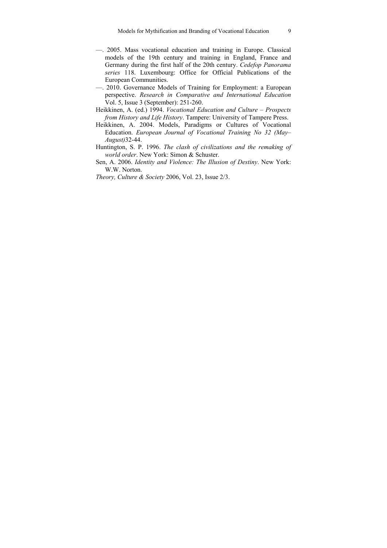- —. 2005. Mass vocational education and training in Europe. Classical models of the 19th century and training in England, France and Germany during the first half of the 20th century. *Cedefop Panorama series* 118. Luxembourg: Office for Official Publications of the European Communities.
- —. 2010. Governance Models of Training for Employment: a European perspective. *Research in Comparative and International Education* Vol. 5, Issue 3 (September): 251-260.
- Heikkinen, A. (ed.) 1994. *Vocational Education and Culture Prospects from History and Life History*. Tampere: University of Tampere Press.
- Heikkinen, A. 2004. Models, Paradigms or Cultures of Vocational Education. *European Journal of Vocational Training No 32 (May– August)*32-44.
- Huntington, S. P. 1996. *The clash of civilizations and the remaking of world order*. New York: Simon & Schuster.
- Sen, A. 2006. *Identity and Violence: The Illusion of Destiny*. New York: W.W. Norton.
- *Theory, Culture & Society* 2006, Vol. 23, Issue 2/3.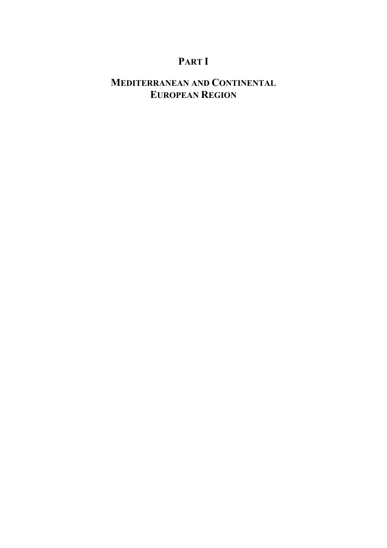# **PART I**

# **MEDITERRANEAN AND CONTINENTAL EUROPEAN REGION**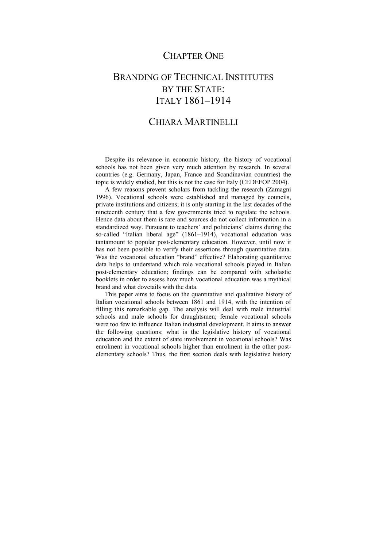### CHAPTER ONE

## BRANDING OF TECHNICAL INSTITUTES BY THE STATE: ITALY 1861–1914

### CHIARA MARTINELLI

Despite its relevance in economic history, the history of vocational schools has not been given very much attention by research. In several countries (e.g. Germany, Japan, France and Scandinavian countries) the topic is widely studied, but this is not the case for Italy (CEDEFOP 2004).

A few reasons prevent scholars from tackling the research (Zamagni 1996). Vocational schools were established and managed by councils, private institutions and citizens; it is only starting in the last decades of the nineteenth century that a few governments tried to regulate the schools. Hence data about them is rare and sources do not collect information in a standardized way. Pursuant to teachers' and politicians' claims during the so-called "Italian liberal age" (1861–1914), vocational education was tantamount to popular post-elementary education. However, until now it has not been possible to verify their assertions through quantitative data. Was the vocational education "brand" effective? Elaborating quantitative data helps to understand which role vocational schools played in Italian post-elementary education; findings can be compared with scholastic booklets in order to assess how much vocational education was a mythical brand and what dovetails with the data.

This paper aims to focus on the quantitative and qualitative history of Italian vocational schools between 1861 and 1914, with the intention of filling this remarkable gap. The analysis will deal with male industrial schools and male schools for draughtsmen; female vocational schools were too few to influence Italian industrial development. It aims to answer the following questions: what is the legislative history of vocational education and the extent of state involvement in vocational schools? Was enrolment in vocational schools higher than enrolment in the other postelementary schools? Thus, the first section deals with legislative history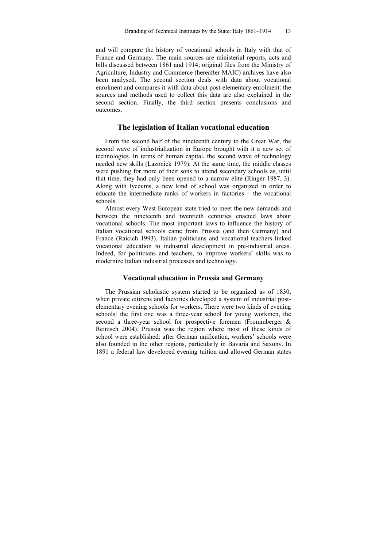and will compare the history of vocational schools in Italy with that of France and Germany. The main sources are ministerial reports, acts and bills discussed between 1861 and 1914; original files from the Ministry of Agriculture, Industry and Commerce (hereafter MAIC) archives have also been analysed. The second section deals with data about vocational enrolment and compares it with data about post-elementary enrolment: the sources and methods used to collect this data are also explained in the second section. Finally, the third section presents conclusions and outcomes.

### **The legislation of Italian vocational education**

From the second half of the nineteenth century to the Great War, the second wave of industrialization in Europe brought with it a new set of technologies. In terms of human capital, the second wave of technology needed new skills (Lazonick 1979). At the same time, the middle classes were pushing for more of their sons to attend secondary schools as, until that time, they had only been opened to a narrow élite (Ringer 1987, 3). Along with lyceums, a new kind of school was organized in order to educate the intermediate ranks of workers in factories – the vocational schools.

Almost every West European state tried to meet the new demands and between the nineteenth and twentieth centuries enacted laws about vocational schools. The most important laws to influence the history of Italian vocational schools came from Prussia (and then Germany) and France (Raicich 1993). Italian politicians and vocational teachers linked vocational education to industrial development in pre-industrial areas. Indeed, for politicians and teachers, to improve workers' skills was to modernize Italian industrial processes and technology.

### **Vocational education in Prussia and Germany**

The Prussian scholastic system started to be organized as of 1830, when private citizens and factories developed a system of industrial postelementary evening schools for workers. There were two kinds of evening schools: the first one was a three-year school for young workmen, the second a three-year school for prospective foremen (Frommberger & Reinisch 2004). Prussia was the region where most of these kinds of school were established: after German unification, workers' schools were also founded in the other regions, particularly in Bavaria and Saxony. In 1891 a federal law developed evening tuition and allowed German states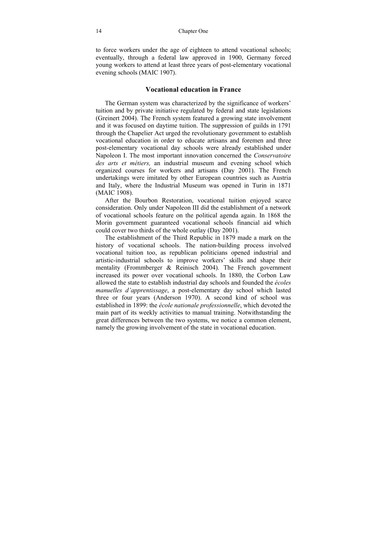to force workers under the age of eighteen to attend vocational schools; eventually, through a federal law approved in 1900, Germany forced young workers to attend at least three years of post-elementary vocational evening schools (MAIC 1907).

### **Vocational education in France**

The German system was characterized by the significance of workers' tuition and by private initiative regulated by federal and state legislations (Greinert 2004). The French system featured a growing state involvement and it was focused on daytime tuition. The suppression of guilds in 1791 through the Chapelier Act urged the revolutionary government to establish vocational education in order to educate artisans and foremen and three post-elementary vocational day schools were already established under Napoleon I. The most important innovation concerned the *Conservatoire des arts et métiers,* an industrial museum and evening school which organized courses for workers and artisans (Day 2001). The French undertakings were imitated by other European countries such as Austria and Italy, where the Industrial Museum was opened in Turin in 1871 (MAIC 1908).

After the Bourbon Restoration, vocational tuition enjoyed scarce consideration. Only under Napoleon III did the establishment of a network of vocational schools feature on the political agenda again. In 1868 the Morin government guaranteed vocational schools financial aid which could cover two thirds of the whole outlay (Day 2001).

The establishment of the Third Republic in 1879 made a mark on the history of vocational schools. The nation-building process involved vocational tuition too, as republican politicians opened industrial and artistic-industrial schools to improve workers' skills and shape their mentality (Frommberger & Reinisch 2004). The French government increased its power over vocational schools. In 1880, the Corbon Law allowed the state to establish industrial day schools and founded the *écoles manuelles d'apprentissage*, a post-elementary day school which lasted three or four years (Anderson 1970). A second kind of school was established in 1899: the *école nationale professionnelle*, which devoted the main part of its weekly activities to manual training. Notwithstanding the great differences between the two systems, we notice a common element, namely the growing involvement of the state in vocational education.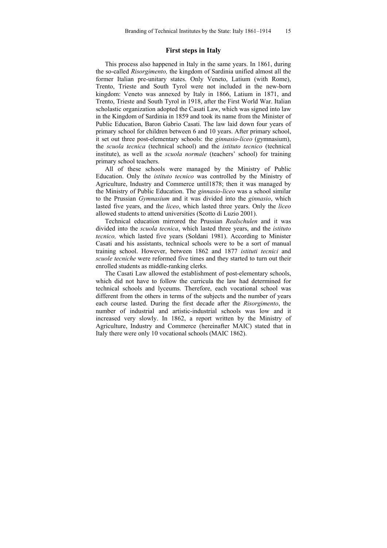### **First steps in Italy**

This process also happened in Italy in the same years. In 1861, during the so-called *Risorgimento,* the kingdom of Sardinia unified almost all the former Italian pre-unitary states. Only Veneto, Latium (with Rome), Trento, Trieste and South Tyrol were not included in the new-born kingdom: Veneto was annexed by Italy in 1866, Latium in 1871, and Trento, Trieste and South Tyrol in 1918, after the First World War. Italian scholastic organization adopted the Casati Law, which was signed into law in the Kingdom of Sardinia in 1859 and took its name from the Minister of Public Education, Baron Gabrio Casati. The law laid down four years of primary school for children between 6 and 10 years. After primary school, it set out three post-elementary schools: the *ginnasio-liceo* (gymnasium), the *scuola tecnica* (technical school) and the *istituto tecnico* (technical institute), as well as the *scuola normale* (teachers' school) for training primary school teachers.

All of these schools were managed by the Ministry of Public Education. Only the *istituto tecnico* was controlled by the Ministry of Agriculture, Industry and Commerce until1878; then it was managed by the Ministry of Public Education. The *ginnasio-liceo* was a school similar to the Prussian *Gymnasium* and it was divided into the *ginnasio*, which lasted five years, and the *liceo*, which lasted three years. Only the *liceo* allowed students to attend universities (Scotto di Luzio 2001).

Technical education mirrored the Prussian *Realschulen* and it was divided into the *scuola tecnica*, which lasted three years, and the *istituto tecnico,* which lasted five years (Soldani 1981). According to Minister Casati and his assistants, technical schools were to be a sort of manual training school. However, between 1862 and 1877 *istituti tecnici* and *scuole tecniche* were reformed five times and they started to turn out their enrolled students as middle-ranking clerks.

The Casati Law allowed the establishment of post-elementary schools, which did not have to follow the curricula the law had determined for technical schools and lyceums. Therefore, each vocational school was different from the others in terms of the subjects and the number of years each course lasted. During the first decade after the *Risorgimento*, the number of industrial and artistic-industrial schools was low and it increased very slowly. In 1862, a report written by the Ministry of Agriculture, Industry and Commerce (hereinafter MAIC) stated that in Italy there were only 10 vocational schools (MAIC 1862).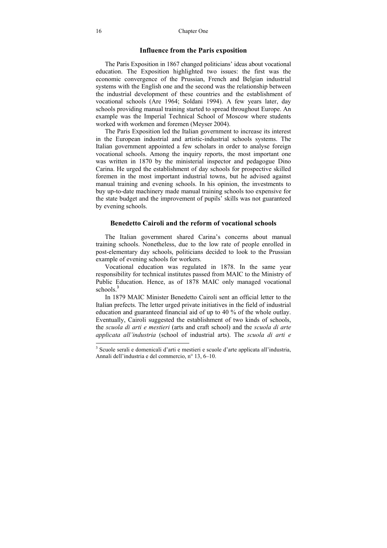#### **Influence from the Paris exposition**

The Paris Exposition in 1867 changed politicians' ideas about vocational education. The Exposition highlighted two issues: the first was the economic convergence of the Prussian, French and Belgian industrial systems with the English one and the second was the relationship between the industrial development of these countries and the establishment of vocational schools (Are 1964; Soldani 1994). A few years later, day schools providing manual training started to spread throughout Europe. An example was the Imperial Technical School of Moscow where students worked with workmen and foremen (Meyser 2004).

The Paris Exposition led the Italian government to increase its interest in the European industrial and artistic-industrial schools systems. The Italian government appointed a few scholars in order to analyse foreign vocational schools. Among the inquiry reports, the most important one was written in 1870 by the ministerial inspector and pedagogue Dino Carina. He urged the establishment of day schools for prospective skilled foremen in the most important industrial towns, but he advised against manual training and evening schools. In his opinion, the investments to buy up-to-date machinery made manual training schools too expensive for the state budget and the improvement of pupils' skills was not guaranteed by evening schools.

### **Benedetto Cairoli and the reform of vocational schools**

The Italian government shared Carina's concerns about manual training schools. Nonetheless, due to the low rate of people enrolled in post-elementary day schools, politicians decided to look to the Prussian example of evening schools for workers.

Vocational education was regulated in 1878. In the same year responsibility for technical institutes passed from MAIC to the Ministry of Public Education. Hence, as of 1878 MAIC only managed vocational schools $3$ 

In 1879 MAIC Minister Benedetto Cairoli sent an official letter to the Italian prefects. The letter urged private initiatives in the field of industrial education and guaranteed financial aid of up to 40 % of the whole outlay. Eventually, Cairoli suggested the establishment of two kinds of schools, the *scuola di arti e mestieri* (arts and craft school) and the *scuola di arte applicata all'industria* (school of industrial arts). The *scuola di arti e* 

 3 Scuole serali e domenicali d'arti e mestieri e scuole d'arte applicata all'industria, Annali dell'industria e del commercio, n° 13, 6–10.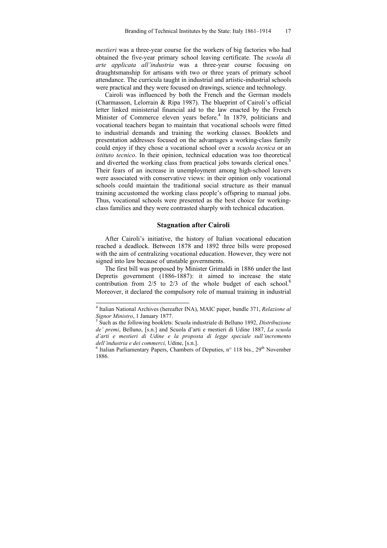*mestieri* was a three-year course for the workers of big factories who had obtained the five-year primary school leaving certificate. The *scuola di arte applicata all'industria* was a three-year course focusing on draughtsmanship for artisans with two or three years of primary school attendance. The curricula taught in industrial and artistic-industrial schools were practical and they were focused on drawings, science and technology.

Cairoli was influenced by both the French and the German models (Charmasson, Lelorrain & Ripa 1987). The blueprint of Cairoli's official letter linked ministerial financial aid to the law enacted by the French Minister of Commerce eleven years before.<sup>4</sup> In 1879, politicians and vocational teachers began to maintain that vocational schools were fitted to industrial demands and training the working classes. Booklets and presentation addresses focused on the advantages a working-class family could enjoy if they chose a vocational school over a *scuola tecnica* or an *istituto tecnico*. In their opinion, technical education was too theoretical and diverted the working class from practical jobs towards clerical ones.<sup>5</sup> Their fears of an increase in unemployment among high-school leavers were associated with conservative views: in their opinion only vocational schools could maintain the traditional social structure as their manual training accustomed the working class people's offspring to manual jobs. Thus, vocational schools were presented as the best choice for workingclass families and they were contrasted sharply with technical education.

### **Stagnation after Cairoli**

After Cairoli's initiative, the history of Italian vocational education reached a deadlock. Between 1878 and 1892 three bills were proposed with the aim of centralizing vocational education. However, they were not signed into law because of unstable governments.

The first bill was proposed by Minister Grimaldi in 1886 under the last Depretis government (1886-1887): it aimed to increase the state contribution from  $2/5$  to  $2/3$  of the whole budget of each school.<sup>6</sup> Moreover, it declared the compulsory role of manual training in industrial

 4 Italian National Archives (hereafter INA), MAIC paper, bundle 371, *Relazione al Signor Ministro*, 1 January 1877.

Such as the following booklets: Scuola industriale di Belluno 1892, *Distribuzione de' premi*, Belluno, [s.n.] and Scuola d'arti e mestieri di Udine 1887, *La scuola d'arti e mestieri di Udine e la proposta di legge speciale sull'incremento dell'industria e dei commerci,* Udine, [s.n.]. 6

 $6$  Italian Parliamentary Papers, Chambers of Deputies, n° 118 bis., 29<sup>th</sup> November 1886.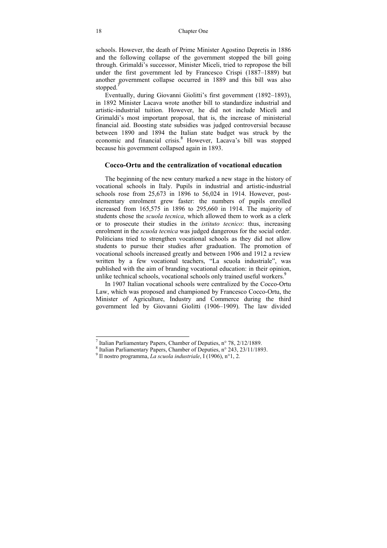schools. However, the death of Prime Minister Agostino Depretis in 1886 and the following collapse of the government stopped the bill going through. Grimaldi's successor, Minister Miceli, tried to repropose the bill under the first government led by Francesco Crispi (1887–1889) but another government collapse occurred in 1889 and this bill was also stopped.

Eventually, during Giovanni Giolitti's first government (1892–1893), in 1892 Minister Lacava wrote another bill to standardize industrial and artistic-industrial tuition. However, he did not include Miceli and Grimaldi's most important proposal, that is, the increase of ministerial financial aid. Boosting state subsidies was judged controversial because between 1890 and 1894 the Italian state budget was struck by the economic and financial crisis.<sup>8</sup> However, Lacava's bill was stopped because his government collapsed again in 1893.

### **Cocco-Ortu and the centralization of vocational education**

The beginning of the new century marked a new stage in the history of vocational schools in Italy. Pupils in industrial and artistic-industrial schools rose from 25,673 in 1896 to 56,024 in 1914. However, postelementary enrolment grew faster: the numbers of pupils enrolled increased from 165,575 in 1896 to 295,660 in 1914. The majority of students chose the *scuola tecnica*, which allowed them to work as a clerk or to prosecute their studies in the *istituto tecnico*: thus, increasing enrolment in the *scuola tecnica* was judged dangerous for the social order. Politicians tried to strengthen vocational schools as they did not allow students to pursue their studies after graduation. The promotion of vocational schools increased greatly and between 1906 and 1912 a review written by a few vocational teachers, "La scuola industriale", was published with the aim of branding vocational education: in their opinion, unlike technical schools, vocational schools only trained useful workers.<sup>9</sup>

In 1907 Italian vocational schools were centralized by the Cocco-Ortu Law, which was proposed and championed by Francesco Cocco-Ortu, the Minister of Agriculture, Industry and Commerce during the third government led by Giovanni Giolitti (1906–1909). The law divided

l

If Italian Parliamentary Papers, Chamber of Deputies, n° 78, 2/12/1889.

 $8$  Italian Parliamentary Papers, Chamber of Deputies, n° 243, 23/11/1893.

<sup>&</sup>lt;sup>9</sup> Il nostro programma, *La scuola industriale*,  $\hat{I}$  (1906), n°1, 2.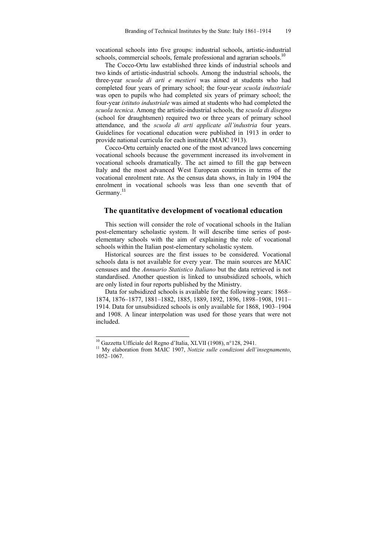vocational schools into five groups: industrial schools, artistic-industrial schools, commercial schools, female professional and agrarian schools.<sup>10</sup>

The Cocco-Ortu law established three kinds of industrial schools and two kinds of artistic-industrial schools. Among the industrial schools, the three-year *scuola di arti e mestieri* was aimed at students who had completed four years of primary school; the four-year *scuola industriale*  was open to pupils who had completed six years of primary school; the four-year *istituto industriale* was aimed at students who had completed the *scuola tecnica*. Among the artistic-industrial schools, the *scuola di disegno* (school for draughtsmen) required two or three years of primary school attendance, and the *scuola di arti applicate all'industria* four years. Guidelines for vocational education were published in 1913 in order to provide national curricula for each institute (MAIC 1913).

Cocco-Ortu certainly enacted one of the most advanced laws concerning vocational schools because the government increased its involvement in vocational schools dramatically. The act aimed to fill the gap between Italy and the most advanced West European countries in terms of the vocational enrolment rate. As the census data shows, in Italy in 1904 the enrolment in vocational schools was less than one seventh that of Germany.<sup>11</sup>

### **The quantitative development of vocational education**

This section will consider the role of vocational schools in the Italian post-elementary scholastic system. It will describe time series of postelementary schools with the aim of explaining the role of vocational schools within the Italian post-elementary scholastic system.

Historical sources are the first issues to be considered. Vocational schools data is not available for every year. The main sources are MAIC censuses and the *Annuario Statistico Italiano* but the data retrieved is not standardised. Another question is linked to unsubsidized schools, which are only listed in four reports published by the Ministry.

Data for subsidized schools is available for the following years: 1868– 1874, 1876–1877, 1881–1882, 1885, 1889, 1892, 1896, 1898–1908, 1911– 1914. Data for unsubsidized schools is only available for 1868, 1903–1904 and 1908. A linear interpolation was used for those years that were not included.

<sup>&</sup>lt;sup>10</sup> Gazzetta Ufficiale del Regno d'Italia, XLVII (1908), n°128, 2941.

<sup>&</sup>lt;sup>11</sup> My elaboration from MAIC 1907, Notizie sulle condizioni dell'insegnamento, 1052–1067.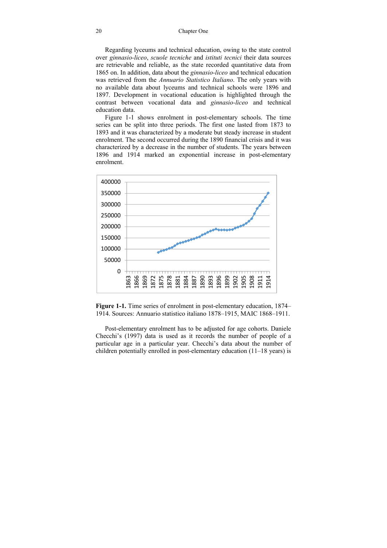Regarding lyceums and technical education, owing to the state control over *ginnasio-liceo*, *scuole tecniche* and *istituti tecnici* their data sources are retrievable and reliable, as the state recorded quantitative data from 1865 on. In addition, data about the *ginnasio-liceo* and technical education was retrieved from the *Annuario Statistico Italiano*. The only years with no available data about lyceums and technical schools were 1896 and 1897. Development in vocational education is highlighted through the contrast between vocational data and *ginnasio-liceo* and technical education data.

Figure 1-1 shows enrolment in post-elementary schools. The time series can be split into three periods. The first one lasted from 1873 to 1893 and it was characterized by a moderate but steady increase in student enrolment. The second occurred during the 1890 financial crisis and it was characterized by a decrease in the number of students. The years between 1896 and 1914 marked an exponential increase in post-elementary enrolment.



**Figure 1-1.** Time series of enrolment in post-elementary education, 1874– 1914. Sources: Annuario statistico italiano 1878–1915, MAIC 1868–1911.

Post-elementary enrolment has to be adjusted for age cohorts. Daniele Checchi's (1997) data is used as it records the number of people of a particular age in a particular year. Checchi's data about the number of children potentially enrolled in post-elementary education (11–18 years) is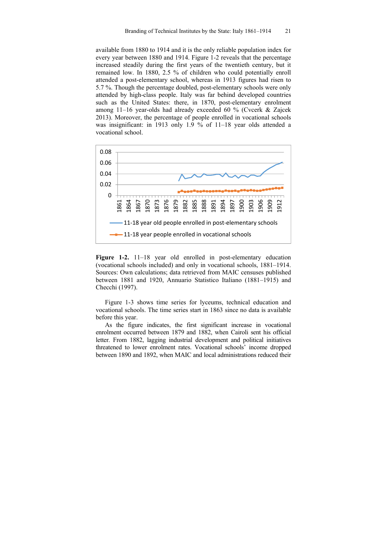available from 1880 to 1914 and it is the only reliable population index for every year between 1880 and 1914. Figure 1-2 reveals that the percentage increased steadily during the first years of the twentieth century, but it remained low. In 1880, 2.5 % of children who could potentially enroll attended a post-elementary school, whereas in 1913 figures had risen to 5.7 %. Though the percentage doubled, post-elementary schools were only attended by high-class people. Italy was far behind developed countries such as the United States: there, in 1870, post-elementary enrolment among 11–16 year-olds had already exceeded 60 % (Cvcerk & Zajcek 2013). Moreover, the percentage of people enrolled in vocational schools was insignificant: in 1913 only 1.9 % of 11–18 year olds attended a vocational school.



**Figure 1-2.** 11–18 year old enrolled in post-elementary education (vocational schools included) and only in vocational schools, 1881–1914. Sources: Own calculations; data retrieved from MAIC censuses published between 1881 and 1920, Annuario Statistico Italiano (1881–1915) and Checchi (1997).

Figure 1-3 shows time series for lyceums, technical education and vocational schools. The time series start in 1863 since no data is available before this year.

As the figure indicates, the first significant increase in vocational enrolment occurred between 1879 and 1882, when Cairoli sent his official letter. From 1882, lagging industrial development and political initiatives threatened to lower enrolment rates. Vocational schools' income dropped between 1890 and 1892, when MAIC and local administrations reduced their